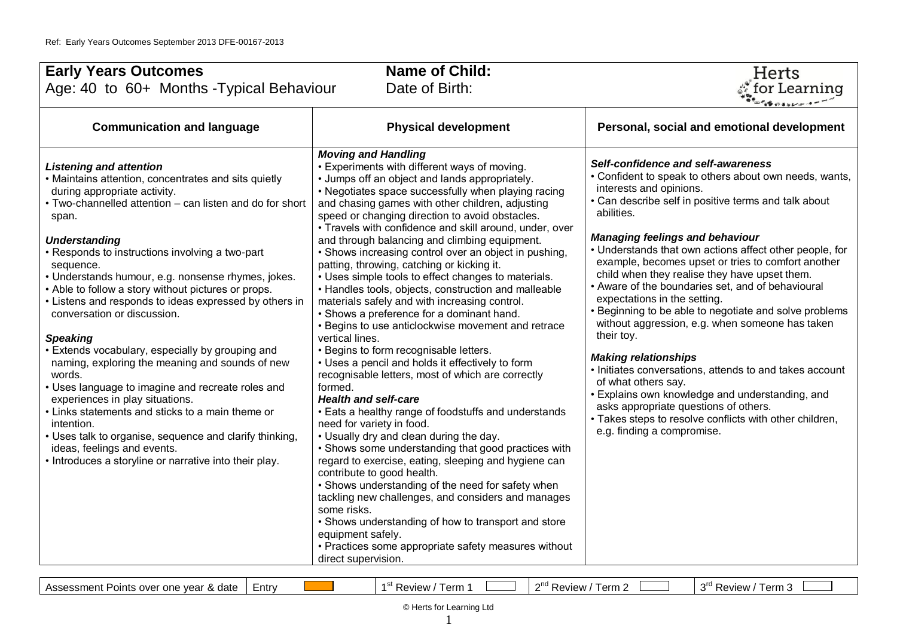| <b>Early Years Outcomes</b><br>Age: 40 to 60+ Months - Typical Behaviour                                                                                                                                                                                                                                                                                                                                                                                                                                                                                                                                                                                                                                                                                                                                                                                                                                                                    | <b>Name of Child:</b><br>Date of Birth:                                                                                                                                                                                                                                                                                                                                                                                                                                                                                                                                                                                                                                                                                                                                                                                                                                                                                                                                                                                                                                                                                                                                                                                                                                                                                                                                                                                                                                                                                                                            | Herts<br>for Learning                                                                                                                                                                                                                                                                                                                                                                                                                                                                                                                                                                                                                                                                                                                                                                                                                                                                                                           |
|---------------------------------------------------------------------------------------------------------------------------------------------------------------------------------------------------------------------------------------------------------------------------------------------------------------------------------------------------------------------------------------------------------------------------------------------------------------------------------------------------------------------------------------------------------------------------------------------------------------------------------------------------------------------------------------------------------------------------------------------------------------------------------------------------------------------------------------------------------------------------------------------------------------------------------------------|--------------------------------------------------------------------------------------------------------------------------------------------------------------------------------------------------------------------------------------------------------------------------------------------------------------------------------------------------------------------------------------------------------------------------------------------------------------------------------------------------------------------------------------------------------------------------------------------------------------------------------------------------------------------------------------------------------------------------------------------------------------------------------------------------------------------------------------------------------------------------------------------------------------------------------------------------------------------------------------------------------------------------------------------------------------------------------------------------------------------------------------------------------------------------------------------------------------------------------------------------------------------------------------------------------------------------------------------------------------------------------------------------------------------------------------------------------------------------------------------------------------------------------------------------------------------|---------------------------------------------------------------------------------------------------------------------------------------------------------------------------------------------------------------------------------------------------------------------------------------------------------------------------------------------------------------------------------------------------------------------------------------------------------------------------------------------------------------------------------------------------------------------------------------------------------------------------------------------------------------------------------------------------------------------------------------------------------------------------------------------------------------------------------------------------------------------------------------------------------------------------------|
| <b>Communication and language</b>                                                                                                                                                                                                                                                                                                                                                                                                                                                                                                                                                                                                                                                                                                                                                                                                                                                                                                           | <b>Physical development</b>                                                                                                                                                                                                                                                                                                                                                                                                                                                                                                                                                                                                                                                                                                                                                                                                                                                                                                                                                                                                                                                                                                                                                                                                                                                                                                                                                                                                                                                                                                                                        | Personal, social and emotional development                                                                                                                                                                                                                                                                                                                                                                                                                                                                                                                                                                                                                                                                                                                                                                                                                                                                                      |
| <b>Listening and attention</b><br>• Maintains attention, concentrates and sits quietly<br>during appropriate activity.<br>• Two-channelled attention – can listen and do for short<br>span.<br><b>Understanding</b><br>• Responds to instructions involving a two-part<br>sequence.<br>• Understands humour, e.g. nonsense rhymes, jokes.<br>• Able to follow a story without pictures or props.<br>• Listens and responds to ideas expressed by others in<br>conversation or discussion.<br><b>Speaking</b><br>• Extends vocabulary, especially by grouping and<br>naming, exploring the meaning and sounds of new<br>words.<br>• Uses language to imagine and recreate roles and<br>experiences in play situations.<br>• Links statements and sticks to a main theme or<br>intention.<br>• Uses talk to organise, sequence and clarify thinking,<br>ideas, feelings and events.<br>• Introduces a storyline or narrative into their play. | <b>Moving and Handling</b><br>• Experiments with different ways of moving.<br>• Jumps off an object and lands appropriately.<br>• Negotiates space successfully when playing racing<br>and chasing games with other children, adjusting<br>speed or changing direction to avoid obstacles.<br>• Travels with confidence and skill around, under, over<br>and through balancing and climbing equipment.<br>• Shows increasing control over an object in pushing,<br>patting, throwing, catching or kicking it.<br>• Uses simple tools to effect changes to materials.<br>• Handles tools, objects, construction and malleable<br>materials safely and with increasing control.<br>• Shows a preference for a dominant hand.<br>• Begins to use anticlockwise movement and retrace<br>vertical lines.<br>• Begins to form recognisable letters.<br>• Uses a pencil and holds it effectively to form<br>recognisable letters, most of which are correctly<br>formed.<br><b>Health and self-care</b><br>• Eats a healthy range of foodstuffs and understands<br>need for variety in food.<br>• Usually dry and clean during the day.<br>• Shows some understanding that good practices with<br>regard to exercise, eating, sleeping and hygiene can<br>contribute to good health.<br>• Shows understanding of the need for safety when<br>tackling new challenges, and considers and manages<br>some risks.<br>• Shows understanding of how to transport and store<br>equipment safely.<br>• Practices some appropriate safety measures without<br>direct supervision. | Self-confidence and self-awareness<br>• Confident to speak to others about own needs, wants,<br>interests and opinions.<br>• Can describe self in positive terms and talk about<br>abilities.<br><b>Managing feelings and behaviour</b><br>• Understands that own actions affect other people, for<br>example, becomes upset or tries to comfort another<br>child when they realise they have upset them.<br>• Aware of the boundaries set, and of behavioural<br>expectations in the setting.<br>• Beginning to be able to negotiate and solve problems<br>without aggression, e.g. when someone has taken<br>their toy.<br><b>Making relationships</b><br>• Initiates conversations, attends to and takes account<br>of what others say.<br>• Explains own knowledge and understanding, and<br>asks appropriate questions of others.<br>• Takes steps to resolve conflicts with other children,<br>e.g. finding a compromise. |

| Assessment Points over one year & date   Entry |  |  |  |
|------------------------------------------------|--|--|--|
|                                                |  |  |  |

 $1<sup>st</sup>$  Review / Term 1

 $2<sup>nd</sup>$  Review / Term 2